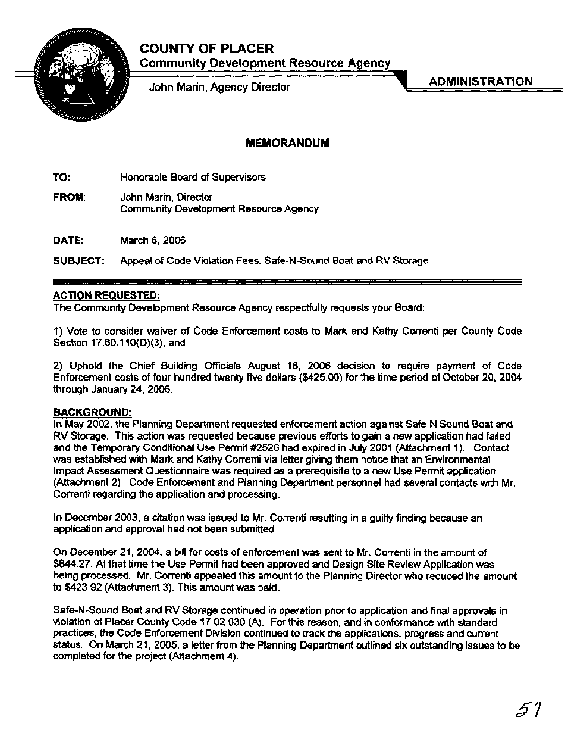# **COUNTY OF PLACER**



John Marin, Agency Director

ADMINISTRATION

### **MEMORANDUM**

**TO:** Honorable Board of Supervisors

**FROM:** John Marin, Director Community Development Resource Agency

**DATE:** March 6,2006

**SUBJECT:** Appeal of Code Violation Fees. Safe-N-Sound Boat and RV Storage.

### **ACTION REQUESTED:**

The Community Development Resource Agency respectfully requests your Board:

1) Vote to consider waiver of Code Enforcement costs to Mark and Kathy Correnti per County Code Section 17.60.110(D)(3), and

2) Uphold the Chief Building Officials August 18, 2006 decision to require payment of Code Enforcement costs of four hundred twenty five dollars (\$425.00) for the time period of October 20, 2004 through January 24,2006.

### **BACKGROUND:**

In May 2002, the Planning Department requested enforcement action against Safe N Sound Boat and RV Storage. This action was requested because previous efforts to gain a new application had failed and the Temporary Conditional Use Permit #2526 had expired in July 2001 (Attachment 1). Contact was established with Mark and Kathy Correnti via letter giving them notice that an Environmental Impact Assessment Questionnaire was required as a prerequisite to a new Use Permit application (Attachment 2). Code Enforcement and Planning Department personnel had several contacts with Mr Correnti regarding the application and processing.

In December 2003, a citation was issued to Mr. Correnti resulting in a guilty finding because an application and approval had not been submitted.

On December 21, 2004, a bill for costs of enforcement was sent to Mr. Correnti in the amount of \$844.27. At that time the Use Permit had been approved and Design Site Review Application was being processed. Mr. Correnti appealed this amount to the Planning Director who reduced the amount to \$423.92 (Attachment 3). This amount was paid.

Safe-N-Sound Boat and RV Storage continued in operation prior to application and final approvals in violation of Placer County Code 17.02.030 (A). For this reason, and in conformance with standard practices, the Code Enforcement Division continued to track the applications, progress and current status. On March 21, 2005, a letter from the Planning Department outlined six outstanding issues to be completed for the project (Attachment 4).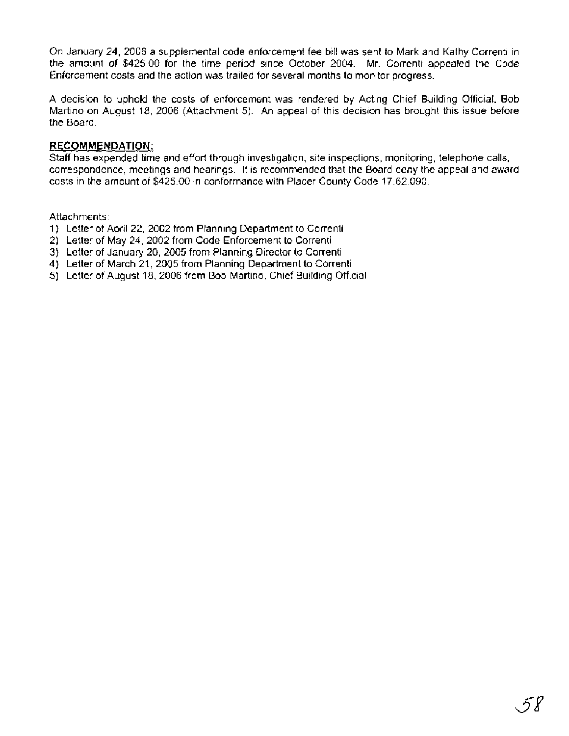On January 24, 2006 a supplemental code enforcement fee bill was sent to Mark and Kathy Correnti in the amount of \$425.00 for the time period since October 2004. Mr. Correnti appealed the Code Enforcement costs and the action was trailed for several months to monitor progress.

A decision to uphold the costs of enforcement was rendered by Acting Chief Building Official, Bob Martino on August 18, 2006 (Attachment 5). An appeal of this decision has brought this issue before the Board.

### **RECOMMENDATION:**

Staff has expended time and effort through investigation, site inspections, monitoring, telephone calls, correspondence, meetings and hearings. It is recommended that the Board deny the appeal and award costs in the amount of \$425.00 in conformance with Placer County Code 17.62.090.

Attachments:

- 1) Letter of April 22, 2002 from Planning Department to Correnti
- 2) Letter of May 24, 2002 from Code Enforcement to Correnti
- 3) Letter of January 20, 2005 from Planning Director to Correnti
- 4) Letter of March 21, 2005 from Planning Department to Correnti
- 5) Letter of August 18, 2006 from Bob Martino, Chief Building Official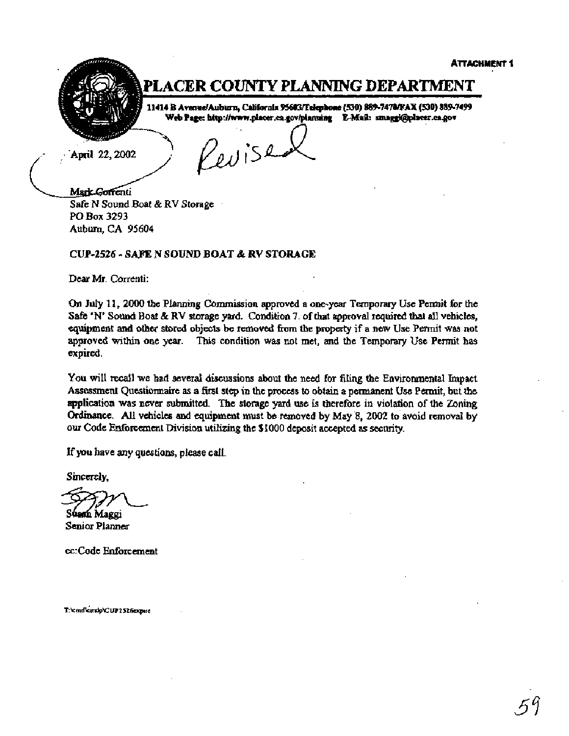

# PLACER COUNTY PLANNING DEPARTMENT

11414 B Avenue/Auburn, California 95603/Felephone (530) 889-7470/FAX (530) 889-7499 Web Page: http://www.placer.ca.gov/planning E-Mail: smaggi@placer.ca.gov

April 22, 2002

Revise

Mark Goffenti **Safe N Sound Boat** & **RV Storage** . **PO Box 3293 Auburn, CA 95604** 

### **CUP-2526** - **SAJE N SOUND BOAT** & **RV STORAGE**

**Dear Mr. Correnti:** 

**On July 11, 2000 the Plrurning Commission approved a one-year Temporary Use Permit for the Safe 'N' Sound Boat** & **RV starage yard. Condition 7. of that approval required** that dl **vehicles, equipment and other stored objects be removed from the pmperty if a new Use Permit was not approved within one year, This condition was not met, and the Temporary Use Pennit has expired.** 

You will recall we had several discussions about the need for filing the Environmental Impact **Assessment Questionnaire as a first step in** tht **process to obtain a permanent Use Pennit, but the application was never submitted. The storage yard use is therefore in violation of the Zoning Ordinance. All vehicles and equipment must be removed by May** *8,* **2002'** ti **avoid removal by our Code Edorcement Division utilizing the Sf 000 deposit accepted as security.** 

**If you have any questions, please call.** 

**Sincerely,** 

Sham Maggi

**Senior Planner** 

**cc:Code Enforcement** 

T:\cmd\emdp\CUP2526expire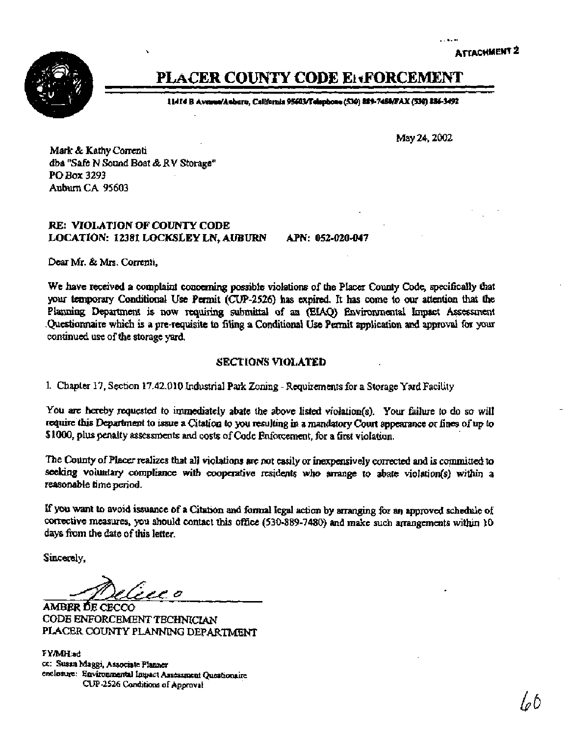

# **PLACER COUNTY CODE ElxFORCEMENT**

**<sup>1</sup>I414 B Ava#Aaburo, Wtfontir 9SO3tl'elqmm (5301 Wn-7411)/PAX (SO) 886-3492** 

**May 24,2002** 

**Mark & Kathy Correnti dba "Safe N Sound Boat** & **RV Storage" PO** *Box* **3293 Auburn CA 95603** 

### **RE: VIOLATION OF COUNTY CODE LOCATION: 12381 LOCKSlLEY LN, AUBURN APN: 052-020-047**

Dear **Mr. &Mrs. Correnti,** 

We have received a complaint concerning possible violations of the Placer County Code, specifically that **your** *temporary* **Conditional Use Permit (CUP-2526) has expired.** It **has come to our attention** that **the**  Planning Department is now requiring submittal of an (EIAQ) Environmental Impact Assessment **.Questionnaire which is a pre-requisite to filing a Conditional Use Permit application and agproval for your continued use of the storage yard.** 

### **SECTIONS VIOLATED**

**1. Chapter** 17, **Section 17.42.010 Industrial Park Zoning** - **Requirements for a Storage Yard Facility** 

You are hereby requested to immediately abate the above listed violation(s). Your failure to do so will require this Department to issue a Citation to you resulting in a mandatory Court appearance or fines of up to **\$1000, plus penalty assessments and costs of Code Enfoment, for a first violation.** 

**The County of Pk realizes that all violations are not easily or inexpensively cofiected and is cwtted to**  seeking voluntary compliance with cooperative residents who arrange to abate violation(s) within a **reasonable time period.** 

**If** you **wmt to avoid issuance of a Citation and formal legal action by manging for an approved schcdule of corrective measures, you should contact this office (530-889-7480) and make such arrangments within 10 days** htn **the date of this letter.** 

**Sincerely,** 

ہ سربر ز

**AMBER BE CECCO CODB ENFORCEMENT TECHMCIAN PLACER COUNTY PLANNING DEPARTMENT** 

**FYMH;ad cc: Susan Maggi, Associate Plawer enclosure: Environmental Lmpact Assessment Queationairc CUP-2526 Conditions of Approval**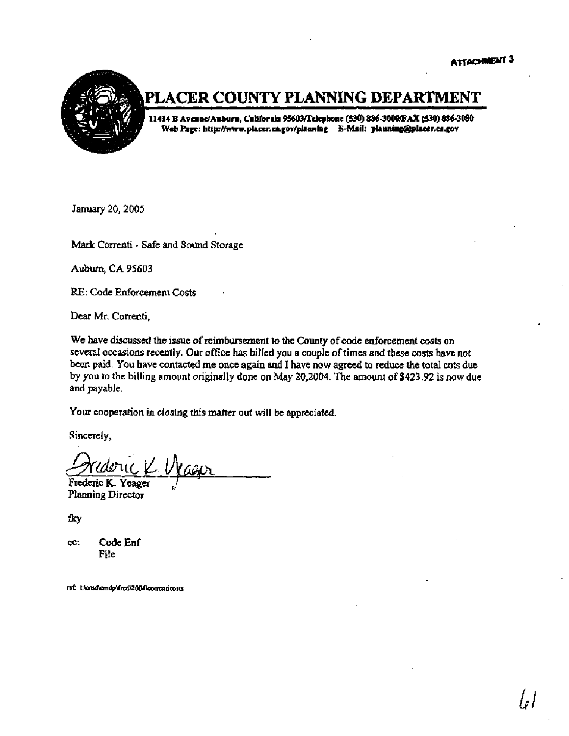le l



### PLACER COUNTY PLANNING DEPARTMENT

**11414 B AveauelAubura, California ~ckpbone (530) 886-3OOolFAX (530) 886-3**  Web Page: http://www.placer.ca.gov/planning 6-Mail: planning@placer.ca.gov

**January 20,2005** 

**Mark Conenti** - **Safe and Sound Storage** 

**Aubwm, CA 95603** 

**RE: Code Enforcement Costs** 

Dear Mr. Correnti,

**We have discussed the issue of reimbutsement to the County of code enforcement costs on severd occasions recently. Our office has billed you a couple of times and these costs have not been paid. You have contacted me once again and I have naw agreed to tedw** *the* **total** cots **due by you to the billing amount originally done on May 20,2004.** *The* **amount of \$423.92 is now due and payable.** 

**Your cooperation in closing this matter out will be appreciated.** 

**Sincerely,** 

Frederic K. Yeager

**Planning Director** 

fky

**cc: Code Enf File** 

ref: t:\cmd\cmdp\fred\2004\correnticosts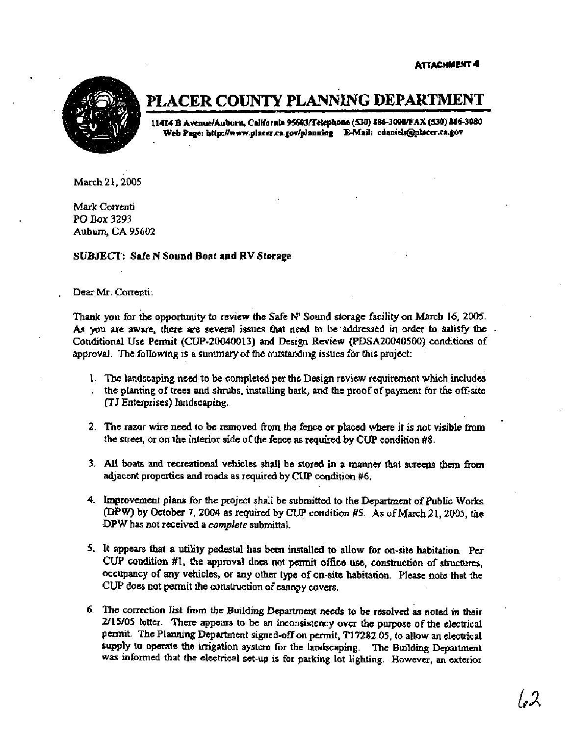**ATTACHMENT 4** 



## **PLACER COUNTY PLANNlNG DEPARTMENT**

**11414 8 AvdAubnrn, Cailfornia 95603~clcph011e (530) 886-3000@A% (530) 886-3080**  Web Page: http://www.placer.ca.gov/planning E-Mail: edaniels@placer.ca.gov

**March 21,2005** 

**Mark Correnti PO Box 3293. Auburn, CA 95602** 

#### **SUBJECT: Safe N Sound Boat and RV Storage**

, **Deax Mr. Correnti:** 

**Thank you for ihe opportunity to review the Safe N' Sound storage facility on March 16, 2005. As you are aware, there are several issues that need to be'addressed in order to satisfy the Conditional Use Permit (CUP-20040013) and Design Review (PDSA20040500) conditions of approval. The foIlowing is a summary of the outstanding issues for this project:** '

- 1. **Ihe landscaping need to be completed per the Design review requirement which** includes . **the planting of trees and shrubs, installing bark, and the proof of payment for the off-site (TJ Entexprises) landscaping.**
- **2. The razor wire need to be removed from the** fence **or placed where it is not visible fmm the street, or on the interior side of the fence as required by CUP condition #8.**
- **3. AU boats and recreational vehicles shall be stored in a manner that screens** tbem **from adjacent properties and roads as requited by CUP condition** *#6.*
- **4. Improvement plans for the project shall be submitted to the Department of** *Public* **Works @PW) by October 7,2004 as required by CUP condition #S. As of March 21,2005, the .DPW has not received a** *complete* **submittal.**
- **5. It appears that a utility pedestal has been installed to allow for on-site habitation. Per CUP condition #I, the approval does not pennit office use, construction of structures, occupancy of any vehicles, or any other type of on-site habitation. Please note that the**  CUP does not permit the construction of canopy covers.
- **6. The correction list hm the Building Department needs to be resolved as noted in their 2/15/05 letter. There appears to be an inconsistency over the purpose of the electrical permit. The Planning Deparhaent signed-off on permit, T17282.05, to allow an electrical supply to operate the irrigation system for the landscaping. The Building Department was informed that** *the* **electrical set-up is for parking lot lighting. However, an exterior**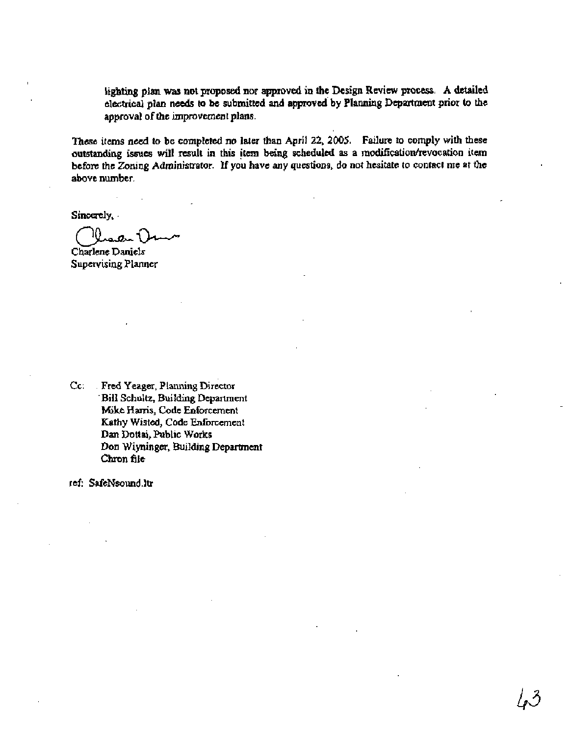**lighting plan was not proposed nor approved in the Design Review process. A detailed electrical plan needs to be submitted and approveded by Planning Departmeat prior to the approval of the improvement plans.** 

**These items need to be completed no later than April 22, 2005. Failure to comply with these outstanding issues will result in this item being scheduled as a modificatiodrevocatian item before the Zoning Administrator. If you have any questions, do not hesitate to contact me at the above number.** 

**Sincerely,** 

**~hslenc Daniels Supervising Planner** 

**Cc:** . **Fred Yeager, Planning Director**  ' **Bill Schultz, Building Department**  *Mike* **Harris, Code Enforceanent Kathy Wisted, Code Enforcement Dan Dottai, Public Works Don Wiyninger, Building Department Chron file** 

**ref: SafeNsound.ltr**